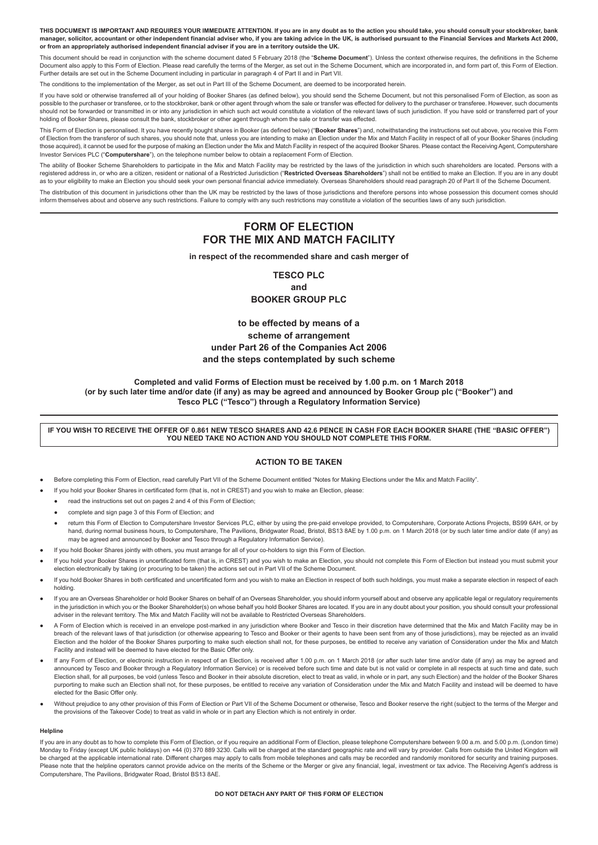THIS DOCUMENT IS IMPORTANT AND REQUIRES YOUR IMMEDIATE ATTENTION. If you are in any doubt as to the action you should take, you should consult your stockbroker, bank manager, solicitor, accountant or other independent financial adviser who, if you are taking advice in the UK, is authorised pursuant to the Financial Services and Markets Act 2000, or from an appropriately authorised independent financial adviser if you are in a territory outside the UK.

This document should be read in conjunction with the scheme document dated 5 February 2018 (the "**Scheme Document**"). Unless the context otherwise requires, the definitions in the Scheme Document also apply to this Form of Election. Please read carefully the terms of the Merger, as set out in the Scheme Document, which are incorporated in, and form part of, this Form of Election. Further details are set out in the Scheme Document including in particular in paragraph 4 of Part II and in Part VII.

The conditions to the implementation of the Merger, as set out in Part III of the Scheme Document, are deemed to be incorporated herein.

If you have sold or otherwise transferred all of your holding of Booker Shares (as defined below), you should send the Scheme Document, but not this personalised Form of Election, as soon as possible to the purchaser or transferee, or to the stockbroker, bank or other agent through whom the sale or transfer was effected for delivery to the purchaser or transferee. However, such documents should not be forwarded or transmitted in or into any jurisdiction in which such act would constitute a violation of the relevant laws of such jurisdiction. If you have sold or transferred part of your holding of Booker Shares, please consult the bank, stockbroker or other agent through whom the sale or transfer was effected.

This Form of Election is personalised. It you have recently bought shares in Booker (as defined below) ("**Booker Shares**") and, notwithstanding the instructions set out above, you receive this Form of Election from the transferor of such shares, you should note that, unless you are intending to make an Election under the Mix and Match Facility in respect of all of your Booker Shares (including those acquired), it cannot be used for the purpose of making an Election under the Mix and Match Facility in respect of the acquired Booker Shares. Please contact the Receiving Agent, Computershare Investor Services PLC ("**Computershare**"), on the telephone number below to obtain a replacement Form of Election.

The ability of Booker Scheme Shareholders to participate in the Mix and Match Facility may be restricted by the laws of the jurisdiction in which such shareholders are located. Persons with a registered address in, or who are a citizen, resident or national of a Restricted Jurisdiction ("**Restricted Overseas Shareholders**") shall not be entitled to make an Election. If you are in any doubt as to your eligibility to make an Election you should seek your own personal financial advice immediately. Overseas Shareholders should read paragraph 20 of Part II of the Scheme Document.

The distribution of this document in jurisdictions other than the UK may be restricted by the laws of those jurisdictions and therefore persons into whose possession this document comes should inform themselves about and observe any such restrictions. Failure to comply with any such restrictions may constitute a violation of the securities laws of any such jurisdiction.

# **FORM OF ELECTION FOR THE MIX AND MATCH FACILITY**

**in respect of the recommended share and cash merger of**

**TESCO PLC and BOOKER GROUP PLC**

**to be effected by means of a scheme of arrangement under Part 26 of the Companies Act 2006 and the steps contemplated by such scheme**

# **Completed and valid Forms of Election must be received by 1.00 p.m. on 1 March 2018** (or by such later time and/or date (if any) as may be agreed and announced by Booker Group plc ("Booker") and **Tesco PLC ("Tesco") through a Regulatory Information Service)**

IF YOU WISH TO RECEIVE THE OFFER OF 0.861 NEW TESCO SHARES AND 42.6 PENCE IN CASH FOR EACH BOOKER SHARE (THE "BASIC OFFER") **YOU NEED TAKE NO ACTION AND YOU SHOULD NOT COMPLETE THIS FORM.**

# **ACTION TO BE TAKEN**

- Before completing this Form of Election, read carefully Part VII of the Scheme Document entitled "Notes for Making Elections under the Mix and Match Facility".
	- If you hold your Booker Shares in certificated form (that is, not in CREST) and you wish to make an Election, please:
	- read the instructions set out on pages 2 and 4 of this Form of Election;
	- complete and sign page 3 of this Form of Election; and
	- return this Form of Election to Computershare Investor Services PLC, either by using the pre-paid envelope provided, to Computershare, Corporate Actions Projects, BS99 6AH, or by hand, during normal business hours, to Computershare, The Pavilions, Bridgwater Road, Bristol, BS13 8AE by 1.00 p.m. on 1 March 2018 (or by such later time and/or date (if any) as may be agreed and announced by Booker and Tesco through a Regulatory Information Service).
- If you hold Booker Shares jointly with others, you must arrange for all of your co-holders to sign this Form of Election.
- If you hold your Booker Shares in uncertificated form (that is, in CREST) and you wish to make an Election, you should not complete this Form of Election but instead you must submit your election electronically by taking (or procuring to be taken) the actions set out in Part VII of the Scheme Document.
- If you hold Booker Shares in both certificated and uncertificated form and you wish to make an Election in respect of both such holdings, you must make a separate election in respect of each holding.
- If you are an Overseas Shareholder or hold Booker Shares on behalf of an Overseas Shareholder, you should inform yourself about and observe any applicable legal or regulatory requirements in the jurisdiction in which you or the Booker Shareholder(s) on whose behalf you hold Booker Shares are located. If you are in any doubt about your position, you should consult your professional adviser in the relevant territory. The Mix and Match Facility will not be available to Restricted Overseas Shareholders.
- A Form of Election which is received in an envelope post-marked in any jurisdiction where Booker and Tesco in their discretion have determined that the Mix and Match Facility may be in breach of the relevant laws of that jurisdiction (or otherwise appearing to Tesco and Booker or their agents to have been sent from any of those jurisdictions), may be rejected as an invalid Election and the holder of the Booker Shares purporting to make such election shall not, for these purposes, be entitled to receive any variation of Consideration under the Mix and Match Facility and instead will be deemed to have elected for the Basic Offer only.
- If any Form of Election, or electronic instruction in respect of an Election, is received after 1.00 p.m. on 1 March 2018 (or after such later time and/or date (if any) as may be agreed and announced by Tesco and Booker through a Regulatory Information Service) or is received before such time and date but is not valid or complete in all respects at such time and date, such Election shall, for all purposes, be void (unless Tesco and Booker in their absolute discretion, elect to treat as valid, in whole or in part, any such Election) and the holder of the Booker Shares purporting to make such an Election shall not, for these purposes, be entitled to receive any variation of Consideration under the Mix and Match Facility and instead will be deemed to have elected for the Basic Offer only.
- Without prejudice to any other provision of this Form of Election or Part VII of the Scheme Document or otherwise, Tesco and Booker reserve the right (subject to the terms of the Merger and the provisions of the Takeover Code) to treat as valid in whole or in part any Election which is not entirely in order.

# **Helpline**

If you are in any doubt as to how to complete this Form of Election, or if you require an additional Form of Election, please telephone Computershare between 9.00 a.m. and 5.00 p.m. (London time) Monday to Friday (except UK public holidays) on +44 (0) 370 889 3230. Calls will be charged at the standard geographic rate and will vary by provider. Calls from outside the United Kingdom will be charged at the applicable international rate. Different charges may apply to calls from mobile telephones and calls may be recorded and randomly monitored for security and training purposes. Please note that the helpline operators cannot provide advice on the merits of the Scheme or the Merger or give any financial, legal, investment or tax advice. The Receiving Agent's address is Computershare, The Pavilions, Bridgwater Road, Bristol BS13 8AE.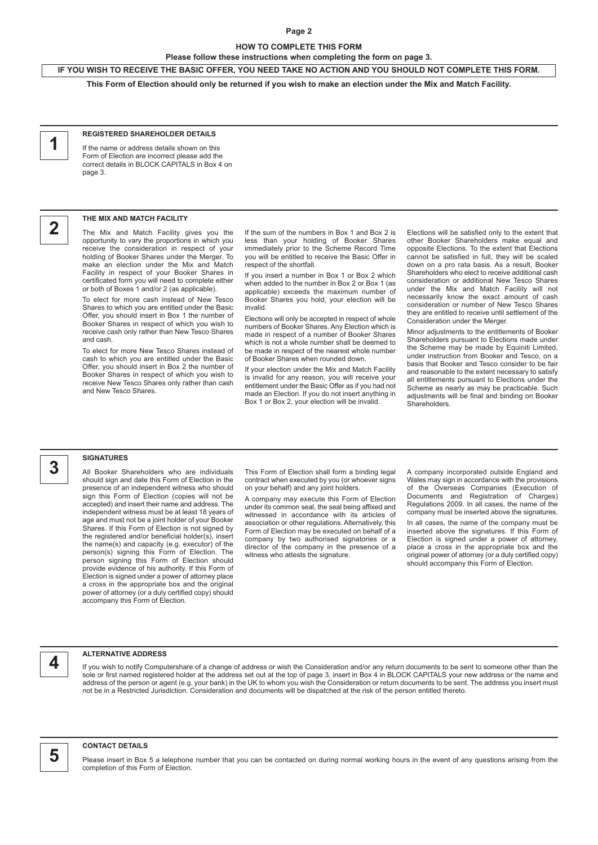# **Page 2**

# **HOW TO COMPLETE THIS FORM**

**Please follow these instructions when completing the form on page 3.**

IF YOU WISH TO RECEIVE THE BASIC OFFER, YOU NEED TAKE NO ACTION AND YOU SHOULD NOT COMPLETE THIS FORM.

This Form of Election should only be returned if you wish to make an election under the Mix and Match Facility.

# **1**

#### **REGISTERED SHAREHOLDER DETAILS**

If the name or address details shown on this Form of Election are incorrect please add the correct details in BLOCK CAPITALS in Box 4 on page 3.



# **THE MIX AND MATCH FACILITY**

The Mix and Match Facility gives you the opportunity to vary the proportions in which you receive the consideration in respect of your holding of Booker Shares under the Merger. To make an election under the Mix and Match Facility in respect of your Booker Shares in certificated form you will need to complete either or both of Boxes 1 and/or 2 (as applicable).

To elect for more cash instead of New Tesco Shares to which you are entitled under the Basic Offer, you should insert in Box 1 the number of Booker Shares in respect of which you wish to receive cash only rather than New Tesco Shares and cash.

To elect for more New Tesco Shares instead of cash to which you are entitled under the Basic Offer, you should insert in Box 2 the number of Booker Shares in respect of which you wish to receive New Tesco Shares only rather than cash and New Tesco Shares.

If the sum of the numbers in Box 1 and Box 2 is less than your holding of Booker Shares immediately prior to the Scheme Record Time you will be entitled to receive the Basic Offer in respect of the shortfall.

If you insert a number in Box 1 or Box 2 which when added to the number in Box 2 or Box 1 (as applicable) exceeds the maximum number of Booker Shares you hold, your election will be invalid.

Elections will only be accepted in respect of whole numbers of Booker Shares. Any Election which is made in respect of a number of Booker Shares which is not a whole number shall be deemed to be made in respect of the nearest whole number of Booker Shares when rounded down.

If your election under the Mix and Match Facility is invalid for any reason, you will receive your entitlement under the Basic Offer as if you had not made an Election. If you do not insert anything in Box 1 or Box 2, your election will be invalid.

Elections will be satisfied only to the extent that other Booker Shareholders make equal and opposite Elections. To the extent that Elections cannot be satisfied in full, they will be scaled down on a pro rata basis. As a result, Booker Shareholders who elect to receive additional cash consideration or additional New Tesco Shares under the Mix and Match Facility will not necessarily know the exact amount of cash consideration or number of New Tesco Shares they are entitled to receive until settlement of the Consideration under the Merger.

Minor adjustments to the entitlements of Booker Shareholders pursuant to Elections made under the Scheme may be made by Equiniti Limited, under instruction from Booker and Tesco, on a basis that Booker and Tesco consider to be fair and reasonable to the extent necessary to satisfy all entitlements pursuant to Elections under the Scheme as nearly as may be practicable. Such adjustments will be final and binding on Booker **Shareholders** 

# **SIGNATURES**

**3**

All Booker Shareholders who are individuals should sign and date this Form of Election in the presence of an independent witness who should sign this Form of Election (copies will not be accepted) and insert their name and address. The independent witness must be at least 18 years of age and must not be a joint holder of your Booker Shares. If this Form of Election is not signed by the registered and/or beneficial holder(s), insert the name(s) and capacity (e.g. executor) of the person(s) signing this Form of Election. The person signing this Form of Election should provide evidence of his authority. If this Form of Election is signed under a power of attorney place a cross in the appropriate box and the original power of attorney (or a duly certified copy) should accompany this Form of Election.

This Form of Election shall form a binding legal contract when executed by you (or whoever signs on your behalf) and any joint holders.

A company may execute this Form of Election under its common seal, the seal being affixed and witnessed in accordance with its articles of association or other regulations. Alternatively, this Form of Election may be executed on behalf of a company by two authorised signatories or a director of the company in the presence of a witness who attests the signature.

A company incorporated outside England and Wales may sign in accordance with the provisions of the Overseas Companies (Execution of Documents and Registration of Charges) Regulations 2009. In all cases, the name of the company must be inserted above the signatures. In all cases, the name of the company must be inserted above the signatures. If this Form of Election is signed under a power of attorney, place a cross in the appropriate box and the original power of attorney (or a duly certified copy) should accompany this Form of Election.

**4 ALTERNATIVE ADDRESS**<br>If you wish to notify Computershare of a change of address or wish the Consideration and/or any return documents to be sent to someone other than the sole or first named registered holder at the address set out at the top of page 3, insert in Box 4 in BLOCK CAPITALS your new address or the name and address of the person or agent (e.g. your bank) in the UK to whom you wish the Consideration or return documents to be sent. The address you insert must not be in a Restricted Jurisdiction. Consideration and documents will be dispatched at the risk of the person entitled thereto.



#### **CONTACT DETAILS**

Please insert in Box 5 a telephone number that you can be contacted on during normal working hours in the event of any questions arising from the completion of this Form of Election.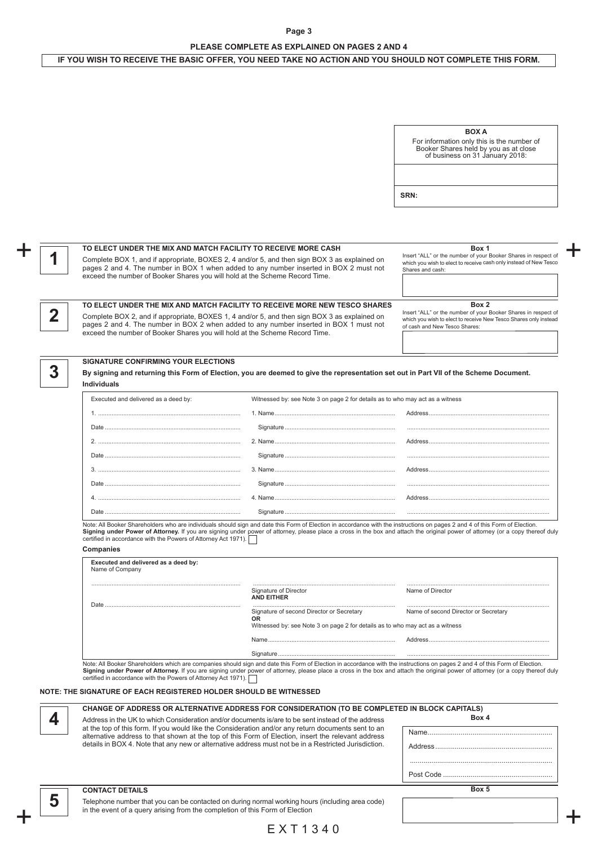# **Page 3 PLEASE COMPLETE AS EXPLAINED ON PAGES 2 AND 4**

# IF YOU WISH TO RECEIVE THE BASIC OFFER, YOU NEED TAKE NO ACTION AND YOU SHOULD NOT COMPLETE THIS FORM.

 $+$ 

+

|   |                                                                                                                                                                                                                                                                                                                                                                                                                                 |                                                                                                                                  | <b>BOX A</b><br>For information only this is the number of<br>Booker Shares held by you as at close<br>of business on 31 January 2018:                                       |
|---|---------------------------------------------------------------------------------------------------------------------------------------------------------------------------------------------------------------------------------------------------------------------------------------------------------------------------------------------------------------------------------------------------------------------------------|----------------------------------------------------------------------------------------------------------------------------------|------------------------------------------------------------------------------------------------------------------------------------------------------------------------------|
|   |                                                                                                                                                                                                                                                                                                                                                                                                                                 |                                                                                                                                  | SRN:                                                                                                                                                                         |
|   |                                                                                                                                                                                                                                                                                                                                                                                                                                 |                                                                                                                                  |                                                                                                                                                                              |
|   | TO ELECT UNDER THE MIX AND MATCH FACILITY TO RECEIVE MORE CASH<br>Complete BOX 1, and if appropriate, BOXES 2, 4 and/or 5, and then sign BOX 3 as explained on<br>pages 2 and 4. The number in BOX 1 when added to any number inserted in BOX 2 must not<br>exceed the number of Booker Shares you will hold at the Scheme Record Time.                                                                                         |                                                                                                                                  | Box 1<br>Insert "ALL" or the number of your Booker Shares in respect of<br>which you wish to elect to receive cash only instead of New Tesco<br>Shares and cash:             |
| 2 | TO ELECT UNDER THE MIX AND MATCH FACILITY TO RECEIVE MORE NEW TESCO SHARES<br>Complete BOX 2, and if appropriate, BOXES 1, 4 and/or 5, and then sign BOX 3 as explained on<br>pages 2 and 4. The number in BOX 2 when added to any number inserted in BOX 1 must not<br>exceed the number of Booker Shares you will hold at the Scheme Record Time.                                                                             |                                                                                                                                  | Box 2<br>Insert "ALL" or the number of your Booker Shares in respect of<br>which you wish to elect to receive New Tesco Shares only instead<br>of cash and New Tesco Shares: |
| 3 | <b>SIGNATURE CONFIRMING YOUR ELECTIONS</b><br>By signing and returning this Form of Election, you are deemed to give the representation set out in Part VII of the Scheme Document.<br><b>Individuals</b>                                                                                                                                                                                                                       |                                                                                                                                  |                                                                                                                                                                              |
|   | Executed and delivered as a deed by:                                                                                                                                                                                                                                                                                                                                                                                            | Witnessed by: see Note 3 on page 2 for details as to who may act as a witness                                                    |                                                                                                                                                                              |
|   |                                                                                                                                                                                                                                                                                                                                                                                                                                 |                                                                                                                                  |                                                                                                                                                                              |
|   |                                                                                                                                                                                                                                                                                                                                                                                                                                 |                                                                                                                                  |                                                                                                                                                                              |
|   |                                                                                                                                                                                                                                                                                                                                                                                                                                 |                                                                                                                                  |                                                                                                                                                                              |
|   | Note: All Booker Shareholders who are individuals should sign and date this Form of Election in accordance with the instructions on pages 2 and 4 of this Form of Election.<br>Signing under Power of Attorney. If you are signing under power of attorney, please place a cross in the box and attach the original power of attorney (or a copy thereof duly<br>certified in accordance with the Powers of Attorney Act 1971). |                                                                                                                                  |                                                                                                                                                                              |
|   | Companies<br>Executed and delivered as a deed by:<br>Name of Company                                                                                                                                                                                                                                                                                                                                                            |                                                                                                                                  |                                                                                                                                                                              |
|   |                                                                                                                                                                                                                                                                                                                                                                                                                                 | Signature of Director<br><b>AND EITHER</b>                                                                                       | Name of Director                                                                                                                                                             |
|   |                                                                                                                                                                                                                                                                                                                                                                                                                                 | Signature of second Director or Secretary<br>0R<br>Witnessed by: see Note 3 on page 2 for details as to who may act as a witness | Name of second Director or Secretary                                                                                                                                         |
|   | Note: All Booker Shareholders which are companies should sign and date this Form of Election in accordance with the instructions on pages 2 and 4 of this Form of Election.<br>Signing under Power of Attorney. If you are signing under power of attorney, please place a cross in the box and attach the original power of attorney (or a copy thereof duly<br>certified in accordance with the Powers of Attorney Act 1971). |                                                                                                                                  |                                                                                                                                                                              |
|   | NOTE: THE SIGNATURE OF EACH REGISTERED HOLDER SHOULD BE WITNESSED<br>CHANGE OF ADDRESS OR ALTERNATIVE ADDRESS FOR CONSIDERATION (TO BE COMPLETED IN BLOCK CAPITALS)                                                                                                                                                                                                                                                             |                                                                                                                                  |                                                                                                                                                                              |
| 4 | Address in the UK to which Consideration and/or documents is/are to be sent instead of the address<br>at the top of this form. If you would like the Consideration and/or any return documents sent to an<br>alternative address to that shown at the top of this Form of Election, insert the relevant address<br>details in BOX 4. Note that any new or alternative address must not be in a Restricted Jurisdiction.         |                                                                                                                                  | Box 4                                                                                                                                                                        |
|   | <b>CONTACT DETAILS</b>                                                                                                                                                                                                                                                                                                                                                                                                          |                                                                                                                                  | Box 5                                                                                                                                                                        |
| 5 | Telephone number that you can be contacted on during normal working hours (including area code)                                                                                                                                                                                                                                                                                                                                 |                                                                                                                                  |                                                                                                                                                                              |
|   | in the event of a query arising from the completion of this Form of Election                                                                                                                                                                                                                                                                                                                                                    |                                                                                                                                  |                                                                                                                                                                              |

# E X T 1 3 4 0